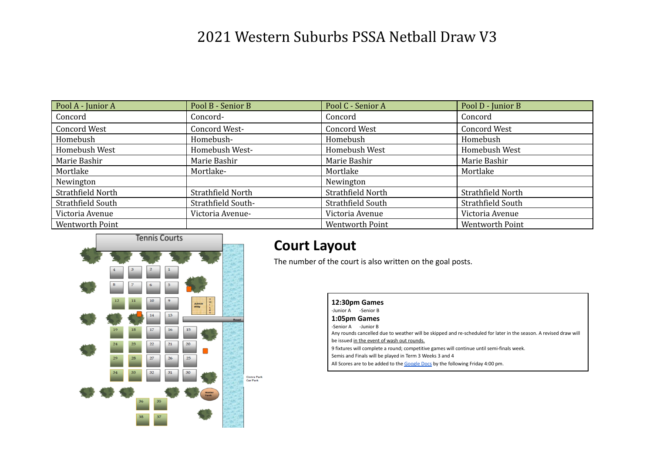| Pool A - Junior A   | Pool B - Senior B  | Pool C - Senior A   | Pool D - Junior B   |
|---------------------|--------------------|---------------------|---------------------|
| Concord             | Concord-           | Concord             | Concord             |
| <b>Concord West</b> | Concord West-      | <b>Concord West</b> | <b>Concord West</b> |
| Homebush            | Homebush-          | Homebush            | Homebush            |
| Homebush West       | Homebush West-     | Homebush West       | Homebush West       |
| Marie Bashir        | Marie Bashir       | Marie Bashir        | Marie Bashir        |
| Mortlake            | Mortlake-          | Mortlake            | Mortlake            |
| Newington           |                    | Newington           |                     |
| Strathfield North   | Strathfield North  | Strathfield North   | Strathfield North   |
| Strathfield South   | Strathfield South- | Strathfield South   | Strathfield South   |
| Victoria Avenue     | Victoria Avenue-   | Victoria Avenue     | Victoria Avenue     |
| Wentworth Point     |                    | Wentworth Point     | Wentworth Point     |



#### **Court Layout**

The number of the court is also written on the goal posts.

| 12:30pm Games                                                                                                     |
|-------------------------------------------------------------------------------------------------------------------|
| -Junior A<br>-Senior B                                                                                            |
| 1:05pm Games                                                                                                      |
| -Senior A<br>-Junior B                                                                                            |
| Any rounds cancelled due to weather will be skipped and re-scheduled for later in the season. A revised draw will |
| be issued in the event of wash out rounds.                                                                        |
| 9 fixtures will complete a round; competitive games will continue until semi-finals week.                         |
| Semis and Finals will be played in Term 3 Weeks 3 and 4                                                           |
| All Scores are to be added to the Google Docs by the following Friday 4:00 pm.                                    |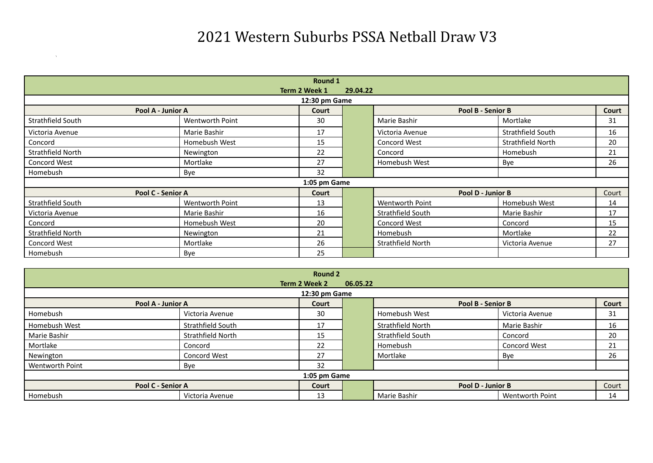|                   | Round 1                   |              |  |                   |                   |       |  |  |  |  |
|-------------------|---------------------------|--------------|--|-------------------|-------------------|-------|--|--|--|--|
|                   | Term 2 Week 1<br>29.04.22 |              |  |                   |                   |       |  |  |  |  |
|                   | 12:30 pm Game             |              |  |                   |                   |       |  |  |  |  |
|                   | Pool A - Junior A         | Court        |  |                   | Pool B - Senior B | Court |  |  |  |  |
| Strathfield South | Wentworth Point           | 30           |  | Marie Bashir      | Mortlake          | 31    |  |  |  |  |
| Victoria Avenue   | Marie Bashir              | 17           |  | Victoria Avenue   | Strathfield South | 16    |  |  |  |  |
| Concord           | Homebush West             | 15           |  | Concord West      | Strathfield North | 20    |  |  |  |  |
| Strathfield North | Newington                 | 22           |  | Concord           | Homebush          | 21    |  |  |  |  |
| Concord West      | Mortlake                  | 27           |  | Homebush West     | Bye               | 26    |  |  |  |  |
| Homebush          | Bye                       | 32           |  |                   |                   |       |  |  |  |  |
|                   |                           | 1:05 pm Game |  |                   |                   |       |  |  |  |  |
|                   | Pool C - Senior A         | Court        |  |                   | Pool D - Junior B | Court |  |  |  |  |
| Strathfield South | Wentworth Point           | 13           |  | Wentworth Point   | Homebush West     | 14    |  |  |  |  |
| Victoria Avenue   | Marie Bashir              | 16           |  | Strathfield South | Marie Bashir      | 17    |  |  |  |  |
| Concord           | Homebush West             | 20           |  | Concord West      | Concord           | 15    |  |  |  |  |
| Strathfield North | Newington                 | 21           |  | Homebush          | Mortlake          | 22    |  |  |  |  |
| Concord West      | Mortlake                  | 26           |  | Strathfield North | Victoria Avenue   | 27    |  |  |  |  |
| Homebush          | Bye                       | 25           |  |                   |                   |       |  |  |  |  |

|                 |                     | Round 2       |          |                   |                   |       |  |  |  |
|-----------------|---------------------|---------------|----------|-------------------|-------------------|-------|--|--|--|
|                 |                     | Term 2 Week 2 | 06.05.22 |                   |                   |       |  |  |  |
|                 |                     | 12:30 pm Game |          |                   |                   |       |  |  |  |
|                 | Pool A - Junior A   | Court         |          |                   | Pool B - Senior B | Court |  |  |  |
| Homebush        | Victoria Avenue     | 30            |          | Homebush West     | Victoria Avenue   | 31    |  |  |  |
| Homebush West   | Strathfield South   | 17            |          | Strathfield North | Marie Bashir      | 16    |  |  |  |
| Marie Bashir    | Strathfield North   | 15            |          | Strathfield South | Concord           | 20    |  |  |  |
| Mortlake        | Concord             | 22            |          | Homebush          | Concord West      | 21    |  |  |  |
| Newington       | <b>Concord West</b> | 27            |          | Mortlake          | Bye               | 26    |  |  |  |
| Wentworth Point | Bye                 | 32            |          |                   |                   |       |  |  |  |
|                 | 1:05 pm Game        |               |          |                   |                   |       |  |  |  |
|                 | Pool C - Senior A   | Court         |          |                   | Pool D - Junior B | Court |  |  |  |
| Homebush        | Victoria Avenue     | 13            |          | Marie Bashir      | Wentworth Point   | 14    |  |  |  |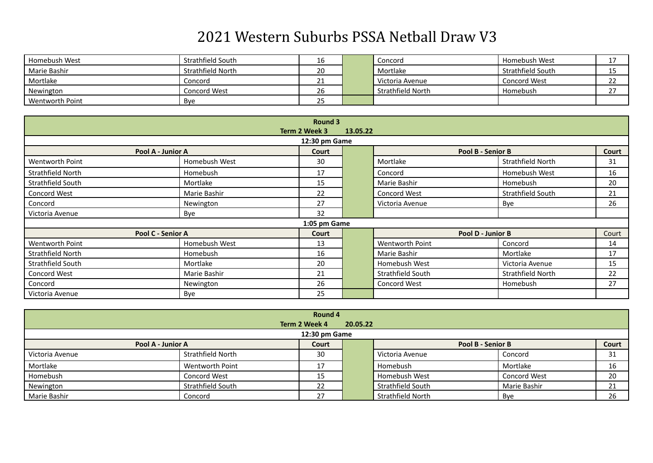| Homebush West   | Strathfield South | Ίp                          | Concord           | Homebush West     |                      |
|-----------------|-------------------|-----------------------------|-------------------|-------------------|----------------------|
| Marie Bashir    | Strathfield North | 20                          | Mortlake          | Strathfield South |                      |
| Mortlake        | Concord           | ᅀ                           | Victoria Avenue   | Concord West      | $\sim$<br><u>_ _</u> |
| Newington       | Concord West      | 26                          | Strathfield North | Homebush          |                      |
| Wentworth Point | Bye               | $\sim$ $\sim$<br><u>_ _</u> |                   |                   |                      |

|                        | Round 3                   |              |  |                     |                   |       |  |  |  |
|------------------------|---------------------------|--------------|--|---------------------|-------------------|-------|--|--|--|
|                        | Term 2 Week 3<br>13.05.22 |              |  |                     |                   |       |  |  |  |
|                        | 12:30 pm Game             |              |  |                     |                   |       |  |  |  |
| Pool A - Junior A      |                           | Court        |  | Pool B - Senior B   |                   | Court |  |  |  |
| Wentworth Point        | Homebush West             | 30           |  | Mortlake            | Strathfield North | 31    |  |  |  |
| Strathfield North      | Homebush                  | 17           |  | Concord             | Homebush West     | 16    |  |  |  |
| Strathfield South      | Mortlake                  | 15           |  | Marie Bashir        | Homebush          | 20    |  |  |  |
| Concord West           | Marie Bashir              | 22           |  | <b>Concord West</b> | Strathfield South | 21    |  |  |  |
| Concord                | Newington                 | 27           |  | Victoria Avenue     | Bye               | 26    |  |  |  |
| Victoria Avenue        | Bye                       | 32           |  |                     |                   |       |  |  |  |
|                        |                           | 1:05 pm Game |  |                     |                   |       |  |  |  |
| Pool C - Senior A      |                           | Court        |  | Pool D - Junior B   |                   | Court |  |  |  |
| <b>Wentworth Point</b> | Homebush West             | 13           |  | Wentworth Point     | Concord           | 14    |  |  |  |
| Strathfield North      | Homebush                  | 16           |  | Marie Bashir        | Mortlake          | 17    |  |  |  |
| Strathfield South      | Mortlake                  | 20           |  | Homebush West       | Victoria Avenue   | 15    |  |  |  |
| Concord West           | Marie Bashir              | 21           |  | Strathfield South   | Strathfield North | 22    |  |  |  |
| Concord                | Newington                 | 26           |  | Concord West        | Homebush          | 27    |  |  |  |
| Victoria Avenue        | Bye                       | 25           |  |                     |                   |       |  |  |  |

|                   | Round 4           |               |          |                   |              |       |  |  |  |
|-------------------|-------------------|---------------|----------|-------------------|--------------|-------|--|--|--|
|                   |                   | Term 2 Week 4 | 20.05.22 |                   |              |       |  |  |  |
|                   | 12:30 pm Game     |               |          |                   |              |       |  |  |  |
| Pool A - Junior A |                   | Court         |          | Pool B - Senior B |              | Court |  |  |  |
| Victoria Avenue   | Strathfield North | 30            |          | Victoria Avenue   | Concord      | 31    |  |  |  |
| Mortlake          | Wentworth Point   | 17            |          | Homebush          | Mortlake     | 16    |  |  |  |
| Homebush          | Concord West      | 15            |          | Homebush West     | Concord West | 20    |  |  |  |
| Newington         | Strathfield South | 22            |          | Strathfield South | Marie Bashir | 21    |  |  |  |
| Marie Bashir      | Concord           | 27            |          | Strathfield North | Bye          | 26    |  |  |  |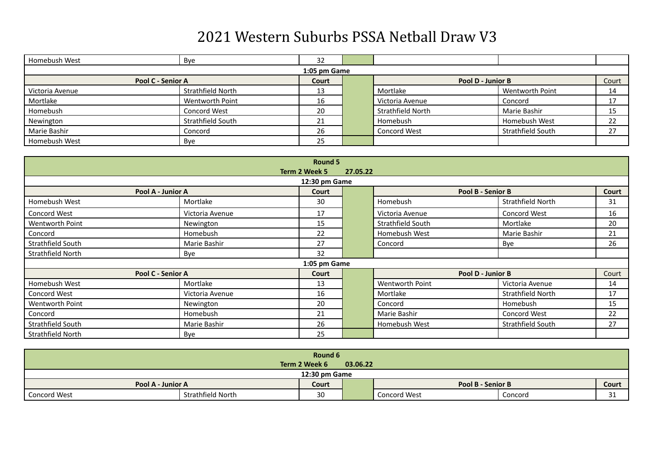| Homebush West   | Bye               | 32           |                     |                   |          |
|-----------------|-------------------|--------------|---------------------|-------------------|----------|
|                 |                   | 1:05 pm Game |                     |                   |          |
|                 | Pool C - Senior A | Court        |                     | Pool D - Junior B | Court    |
| Victoria Avenue | Strathfield North | 13           | Mortlake            | Wentworth Point   | 14       |
| Mortlake        | Wentworth Point   | 16           | Victoria Avenue     | Concord           | 17<br>л. |
| Homebush        | Concord West      | 20           | Strathfield North   | Marie Bashir      | 15       |
| Newington       | Strathfield South | 21           | Homebush            | Homebush West     | 22       |
| Marie Bashir    | Concord           | 26           | <b>Concord West</b> | Strathfield South | 27       |
| Homebush West   | Bye               | 25           |                     |                   |          |

|                        |                   | Round 5       |          |                   |                          |       |
|------------------------|-------------------|---------------|----------|-------------------|--------------------------|-------|
|                        |                   | Term 2 Week 5 | 27.05.22 |                   |                          |       |
|                        |                   | 12:30 pm Game |          |                   |                          |       |
|                        | Pool A - Junior A | Court         |          |                   | Pool B - Senior B        | Court |
| Homebush West          | Mortlake          | 30            |          | Homebush          | Strathfield North        | 31    |
| Concord West           | Victoria Avenue   | 17            |          | Victoria Avenue   | Concord West             | 16    |
| <b>Wentworth Point</b> | Newington         | 15            |          | Strathfield South | Mortlake                 | 20    |
| Concord                | Homebush          | 22            |          | Homebush West     | Marie Bashir             | 21    |
| Strathfield South      | Marie Bashir      | 27            |          | Concord           | Bye                      | 26    |
| Strathfield North      | Bye               | 32            |          |                   |                          |       |
|                        |                   | 1:05 pm Game  |          |                   |                          |       |
|                        | Pool C - Senior A | Court         |          |                   | Pool D - Junior B        | Court |
| Homebush West          | Mortlake          | 13            |          | Wentworth Point   | Victoria Avenue          | 14    |
| Concord West           | Victoria Avenue   | 16            |          | Mortlake          | <b>Strathfield North</b> | 17    |
| <b>Wentworth Point</b> | Newington         | 20            |          | Concord           | Homebush                 | 15    |
| Concord                | Homebush          | 21            |          | Marie Bashir      | <b>Concord West</b>      | 22    |
| Strathfield South      | Marie Bashir      | 26            |          | Homebush West     | Strathfield South        | 27    |
| Strathfield North      | Bye               | 25            |          |                   |                          |       |

|                   | Round 6<br>Term 2 Week 6<br>03.06.22 |       |  |                   |         |              |  |
|-------------------|--------------------------------------|-------|--|-------------------|---------|--------------|--|
|                   | 12:30 pm Game                        |       |  |                   |         |              |  |
| Pool A - Junior A |                                      | Court |  | Pool B - Senior B |         | <b>Court</b> |  |
| Concord West      | Strathfield North                    | 30    |  | Concord West      | Concord | ົ<br>⊥ ب     |  |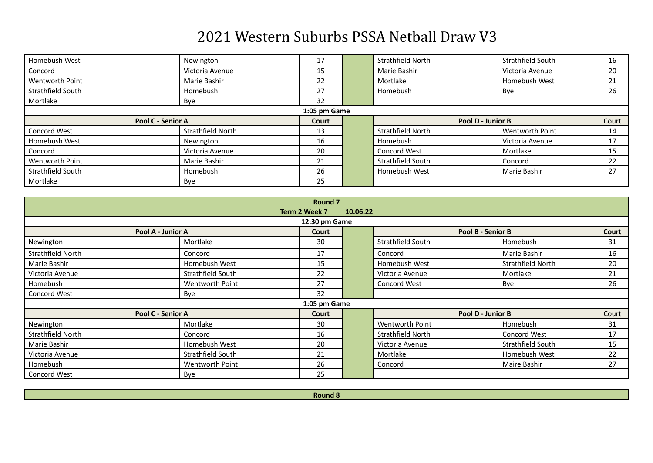| Homebush West          | Newington         | 17    |  | Strathfield North   | Strathfield South | 16    |  |  |
|------------------------|-------------------|-------|--|---------------------|-------------------|-------|--|--|
| Concord                | Victoria Avenue   | 15    |  | Marie Bashir        | Victoria Avenue   | 20    |  |  |
| <b>Wentworth Point</b> | Marie Bashir      | 22    |  | Mortlake            | Homebush West     | 21    |  |  |
| Strathfield South      | Homebush          | 27    |  | Homebush            | Bye               | 26    |  |  |
| Mortlake               | Bye               | 32    |  |                     |                   |       |  |  |
| 1:05 pm Game           |                   |       |  |                     |                   |       |  |  |
| Pool C - Senior A      |                   | Court |  | Pool D - Junior B   |                   | Court |  |  |
| Concord West           | Strathfield North | 13    |  | Strathfield North   | Wentworth Point   | 14    |  |  |
| Homebush West          | Newington         | 16    |  | Homebush            | Victoria Avenue   | 17    |  |  |
| Concord                | Victoria Avenue   | 20    |  | <b>Concord West</b> | Mortlake          | 15    |  |  |
| <b>Wentworth Point</b> | Marie Bashir      | 21    |  | Strathfield South   | Concord           | 22    |  |  |
| Strathfield South      | Homebush          | 26    |  | Homebush West       | Marie Bashir      | 27    |  |  |
| Mortlake               | Bye               | 25    |  |                     |                   |       |  |  |

|                     | Round <sub>7</sub> |               |          |                   |                   |       |  |  |  |
|---------------------|--------------------|---------------|----------|-------------------|-------------------|-------|--|--|--|
|                     |                    | Term 2 Week 7 | 10.06.22 |                   |                   |       |  |  |  |
| 12:30 pm Game       |                    |               |          |                   |                   |       |  |  |  |
|                     | Pool A - Junior A  | Court         |          |                   | Pool B - Senior B | Court |  |  |  |
| Newington           | Mortlake           | 30            |          | Strathfield South | Homebush          | 31    |  |  |  |
| Strathfield North   | Concord            | 17            |          | Concord           | Marie Bashir      | 16    |  |  |  |
| Marie Bashir        | Homebush West      | 15            |          | Homebush West     | Strathfield North | 20    |  |  |  |
| Victoria Avenue     | Strathfield South  | 22            |          | Victoria Avenue   | Mortlake          | 21    |  |  |  |
| Homebush            | Wentworth Point    | 27            |          | Concord West      | Bye               | 26    |  |  |  |
| <b>Concord West</b> | Bye                | 32            |          |                   |                   |       |  |  |  |
|                     |                    | 1:05 pm Game  |          |                   |                   |       |  |  |  |
|                     | Pool C - Senior A  | Court         |          |                   | Pool D - Junior B | Court |  |  |  |
| Newington           | Mortlake           | 30            |          | Wentworth Point   | Homebush          | 31    |  |  |  |
| Strathfield North   | Concord            | 16            |          | Strathfield North | Concord West      | 17    |  |  |  |
| Marie Bashir        | Homebush West      | 20            |          | Victoria Avenue   | Strathfield South | 15    |  |  |  |
| Victoria Avenue     | Strathfield South  | 21            |          | Mortlake          | Homebush West     | 22    |  |  |  |
| Homebush            | Wentworth Point    | 26            |          | Concord           | Maire Bashir      | 27    |  |  |  |
| <b>Concord West</b> | Bye                | 25            |          |                   |                   |       |  |  |  |

**Round 8**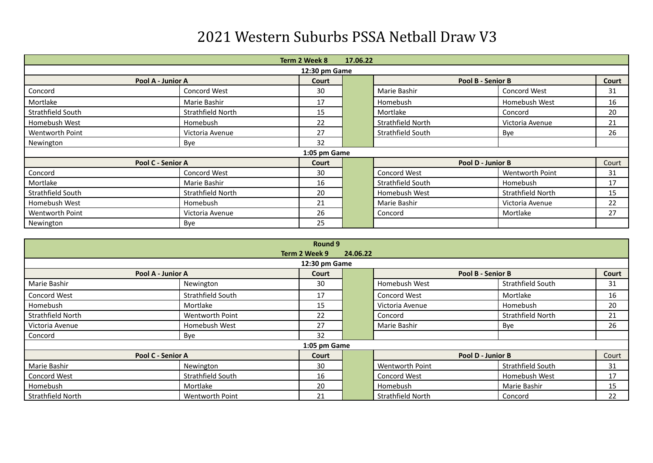| Term 2 Week 8<br>17.06.22 |                   |              |  |                   |                   |       |  |  |  |
|---------------------------|-------------------|--------------|--|-------------------|-------------------|-------|--|--|--|
| 12:30 pm Game             |                   |              |  |                   |                   |       |  |  |  |
| Pool A - Junior A         |                   | Court        |  | Pool B - Senior B |                   | Court |  |  |  |
| Concord                   | Concord West      | 30           |  | Marie Bashir      | Concord West      | 31    |  |  |  |
| Mortlake                  | Marie Bashir      | 17           |  | Homebush          | Homebush West     | 16    |  |  |  |
| Strathfield South         | Strathfield North | 15           |  | Mortlake          | Concord           | 20    |  |  |  |
| Homebush West             | Homebush          | 22           |  | Strathfield North | Victoria Avenue   | 21    |  |  |  |
| Wentworth Point           | Victoria Avenue   | 27           |  | Strathfield South | Bye               | 26    |  |  |  |
| Newington                 | Bye               | 32           |  |                   |                   |       |  |  |  |
|                           |                   | 1:05 pm Game |  |                   |                   |       |  |  |  |
| Pool C - Senior A         |                   |              |  | Pool D - Junior B | Court             |       |  |  |  |
| Concord                   | Concord West      | 30           |  | Concord West      | Wentworth Point   | 31    |  |  |  |
| Mortlake                  | Marie Bashir      | 16           |  | Strathfield South | Homebush          | 17    |  |  |  |
| Strathfield South         | Strathfield North | 20           |  | Homebush West     | Strathfield North | 15    |  |  |  |
| Homebush West             | Homebush          | 21           |  | Marie Bashir      | Victoria Avenue   | 22    |  |  |  |
| <b>Wentworth Point</b>    | Victoria Avenue   | 26           |  | Concord           | Mortlake          | 27    |  |  |  |
| Newington                 | Bye               | 25           |  |                   |                   |       |  |  |  |

| Round 9                   |                   |              |  |                        |                   |       |  |  |  |
|---------------------------|-------------------|--------------|--|------------------------|-------------------|-------|--|--|--|
| Term 2 Week 9<br>24.06.22 |                   |              |  |                        |                   |       |  |  |  |
| 12:30 pm Game             |                   |              |  |                        |                   |       |  |  |  |
|                           | Pool A - Junior A | Court        |  |                        | Pool B - Senior B |       |  |  |  |
| Marie Bashir              | Newington         | 30           |  | Homebush West          | Strathfield South | 31    |  |  |  |
| Concord West              | Strathfield South | 17           |  | Concord West           | Mortlake          | 16    |  |  |  |
| Homebush                  | Mortlake          | 15           |  | Victoria Avenue        | Homebush          | 20    |  |  |  |
| Strathfield North         | Wentworth Point   | 22           |  | Concord                | Strathfield North | 21    |  |  |  |
| Victoria Avenue           | Homebush West     | 27           |  | Marie Bashir           | Bye               | 26    |  |  |  |
| Concord                   | Bye               | 32           |  |                        |                   |       |  |  |  |
|                           |                   | 1:05 pm Game |  |                        |                   |       |  |  |  |
|                           | Pool C - Senior A | Court        |  |                        | Pool D - Junior B | Court |  |  |  |
| Marie Bashir              | Newington         | 30           |  | <b>Wentworth Point</b> | Strathfield South | 31    |  |  |  |
| Concord West              | Strathfield South | 16           |  | Concord West           | Homebush West     | 17    |  |  |  |
| Homebush                  | Mortlake          | 20           |  | Homebush               | Marie Bashir      | 15    |  |  |  |
| Strathfield North         | Wentworth Point   | 21           |  | Strathfield North      | Concord           | 22    |  |  |  |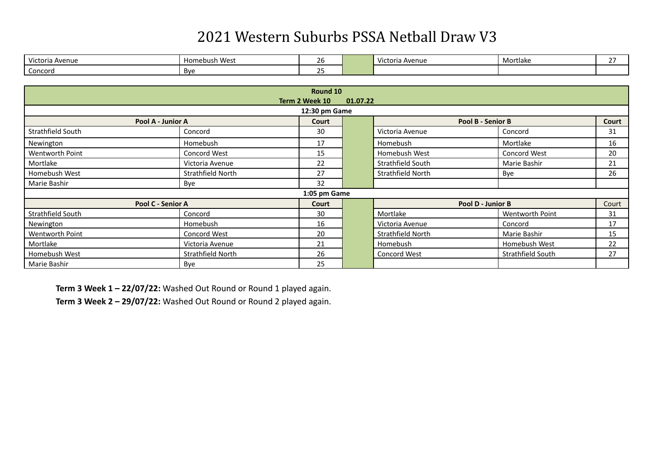| $\overline{1}$<br>Victoria Avenue | Mac<br>Hom<br>ebust<br>כ⊃ שעו | $\sim$<br>້         | $+0.5$<br>Avenue<br>ושגשו | Mortlake | $\sim$ - |
|-----------------------------------|-------------------------------|---------------------|---------------------------|----------|----------|
| Concord                           | Bye                           | $\sim$ $\sim$<br>-- |                           |          |          |

| Round 10                   |                     |                |          |                   |                     |       |  |  |  |
|----------------------------|---------------------|----------------|----------|-------------------|---------------------|-------|--|--|--|
|                            |                     | Term 2 Week 10 | 01.07.22 |                   |                     |       |  |  |  |
| 12:30 pm Game              |                     |                |          |                   |                     |       |  |  |  |
| Pool A - Junior A          |                     | Court          |          |                   | Pool B - Senior B   | Court |  |  |  |
| Strathfield South          | Concord             | 30             |          | Victoria Avenue   | Concord             | 31    |  |  |  |
| Newington                  | Homebush            | 17             |          | <b>Homebush</b>   | Mortlake            | 16    |  |  |  |
| Wentworth Point            | <b>Concord West</b> | 15             |          | Homebush West     | <b>Concord West</b> | 20    |  |  |  |
| Mortlake                   | Victoria Avenue     | 22             |          | Strathfield South | Marie Bashir        | 21    |  |  |  |
| Homebush West              | Strathfield North   | 27             |          | Strathfield North | Bye                 | 26    |  |  |  |
| Marie Bashir               | Bye                 | 32             |          |                   |                     |       |  |  |  |
|                            |                     | 1:05 pm Game   |          |                   |                     |       |  |  |  |
| Pool C - Senior A<br>Court |                     |                |          | Pool D - Junior B |                     | Court |  |  |  |
| Strathfield South          | Concord             | 30             |          | Mortlake          | Wentworth Point     | 31    |  |  |  |
| Newington                  | Homebush            | 16             |          | Victoria Avenue   | Concord             | 17    |  |  |  |
| <b>Wentworth Point</b>     | Concord West        | 20             |          | Strathfield North | Marie Bashir        | 15    |  |  |  |
| Mortlake                   | Victoria Avenue     | 21             |          | <b>Homebush</b>   | Homebush West       | 22    |  |  |  |
| Homebush West              | Strathfield North   | 26             |          | Concord West      | Strathfield South   | 27    |  |  |  |
| Marie Bashir               | Bye                 | 25             |          |                   |                     |       |  |  |  |

Term 3 Week 1 - 22/07/22: Washed Out Round or Round 1 played again.

**Term 3 Week 2 – 29/07/22:** Washed Out Round or Round 2 played again.